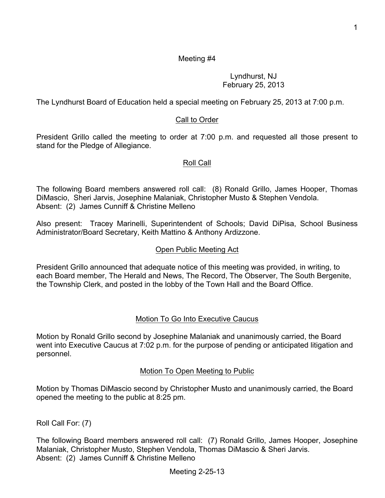## Meeting #4

## Lyndhurst, NJ February 25, 2013

The Lyndhurst Board of Education held a special meeting on February 25, 2013 at 7:00 p.m.

## Call to Order

President Grillo called the meeting to order at 7:00 p.m. and requested all those present to stand for the Pledge of Allegiance.

### Roll Call

The following Board members answered roll call: (8) Ronald Grillo, James Hooper, Thomas DiMascio, Sheri Jarvis, Josephine Malaniak, Christopher Musto & Stephen Vendola. Absent: (2) James Cunniff & Christine Melleno

Also present: Tracey Marinelli, Superintendent of Schools; David DiPisa, School Business Administrator/Board Secretary, Keith Mattino & Anthony Ardizzone.

#### Open Public Meeting Act

President Grillo announced that adequate notice of this meeting was provided, in writing, to each Board member, The Herald and News, The Record, The Observer, The South Bergenite, the Township Clerk, and posted in the lobby of the Town Hall and the Board Office.

### Motion To Go Into Executive Caucus

Motion by Ronald Grillo second by Josephine Malaniak and unanimously carried, the Board went into Executive Caucus at 7:02 p.m. for the purpose of pending or anticipated litigation and personnel.

### Motion To Open Meeting to Public

Motion by Thomas DiMascio second by Christopher Musto and unanimously carried, the Board opened the meeting to the public at 8:25 pm.

Roll Call For: (7)

The following Board members answered roll call: (7) Ronald Grillo, James Hooper, Josephine Malaniak, Christopher Musto, Stephen Vendola, Thomas DiMascio & Sheri Jarvis. Absent: (2) James Cunniff & Christine Melleno